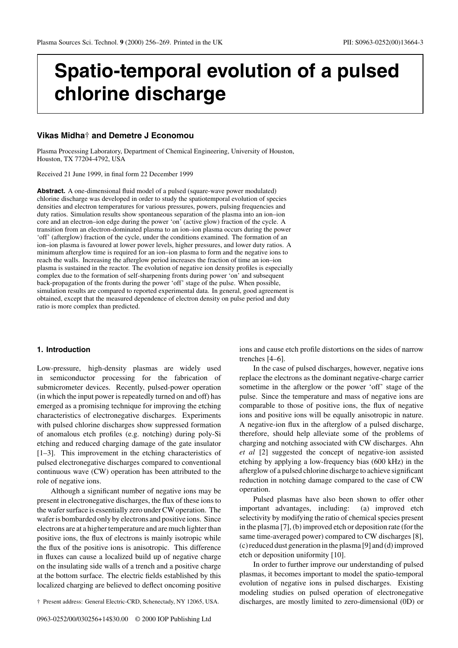# **Spatio-temporal evolution of a pulsed chlorine discharge**

# **Vikas Midha**† **and Demetre J Economou**

Plasma Processing Laboratory, Department of Chemical Engineering, University of Houston, Houston, TX 77204-4792, USA

Received 21 June 1999, in final form 22 December 1999

**Abstract.** A one-dimensional fluid model of a pulsed (square-wave power modulated) chlorine discharge was developed in order to study the spatiotemporal evolution of species densities and electron temperatures for various pressures, powers, pulsing frequencies and duty ratios. Simulation results show spontaneous separation of the plasma into an ion–ion core and an electron–ion edge during the power 'on' (active glow) fraction of the cycle. A transition from an electron-dominated plasma to an ion–ion plasma occurs during the power 'off' (afterglow) fraction of the cycle, under the conditions examined. The formation of an ion–ion plasma is favoured at lower power levels, higher pressures, and lower duty ratios. A minimum afterglow time is required for an ion–ion plasma to form and the negative ions to reach the walls. Increasing the afterglow period increases the fraction of time an ion–ion plasma is sustained in the reactor. The evolution of negative ion density profiles is especially complex due to the formation of self-sharpening fronts during power 'on' and subsequent back-propagation of the fronts during the power 'off' stage of the pulse. When possible, simulation results are compared to reported experimental data. In general, good agreement is obtained, except that the measured dependence of electron density on pulse period and duty ratio is more complex than predicted.

## **1. Introduction**

Low-pressure, high-density plasmas are widely used in semiconductor processing for the fabrication of submicrometer devices. Recently, pulsed-power operation (in which the input power is repeatedly turned on and off) has emerged as a promising technique for improving the etching characteristics of electronegative discharges. Experiments with pulsed chlorine discharges show suppressed formation of anomalous etch profiles (e.g. notching) during poly-Si etching and reduced charging damage of the gate insulator [1–3]. This improvement in the etching characteristics of pulsed electronegative discharges compared to conventional continuous wave (CW) operation has been attributed to the role of negative ions.

Although a significant number of negative ions may be present in electronegative discharges, the flux of these ions to the wafer surface is essentially zero under CW operation. The wafer is bombarded only by electrons and positive ions. Since electrons are at a higher temperature and are much lighter than positive ions, the flux of electrons is mainly isotropic while the flux of the positive ions is anisotropic. This difference in fluxes can cause a localized build up of negative charge on the insulating side walls of a trench and a positive charge at the bottom surface. The electric fields established by this localized charging are believed to deflect oncoming positive

† Present address: General Electric-CRD, Schenectady, NY 12065, USA.

ions and cause etch profile distortions on the sides of narrow trenches [4–6].

In the case of pulsed discharges, however, negative ions replace the electrons as the dominant negative-charge carrier sometime in the afterglow or the power 'off' stage of the pulse. Since the temperature and mass of negative ions are comparable to those of positive ions, the flux of negative ions and positive ions will be equally anisotropic in nature. A negative-ion flux in the afterglow of a pulsed discharge, therefore, should help alleviate some of the problems of charging and notching associated with CW discharges. Ahn *et al* [2] suggested the concept of negative-ion assisted etching by applying a low-frequency bias (600 kHz) in the afterglow of a pulsed chlorine discharge to achieve significant reduction in notching damage compared to the case of CW operation.

Pulsed plasmas have also been shown to offer other important advantages, including: (a) improved etch selectivity by modifying the ratio of chemical species present in the plasma [7], (b) improved etch or deposition rate (for the same time-averaged power) compared to CW discharges [8], (c) reduced dust generation in the plasma [9] and (d) improved etch or deposition uniformity [10].

In order to further improve our understanding of pulsed plasmas, it becomes important to model the spatio-temporal evolution of negative ions in pulsed discharges. Existing modeling studies on pulsed operation of electronegative discharges, are mostly limited to zero-dimensional (0D) or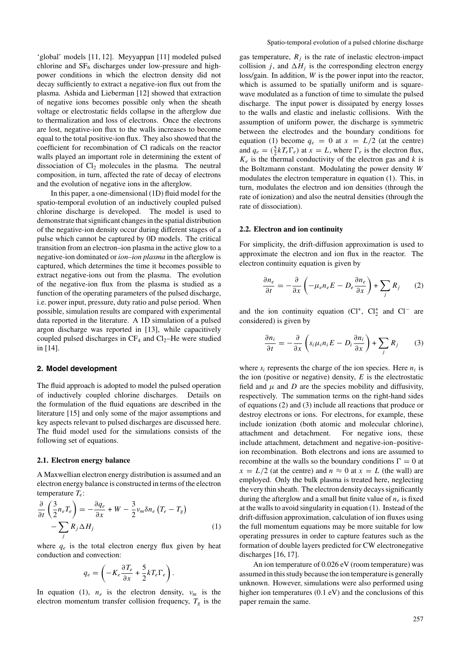'global' models [11, 12]. Meyyappan [11] modeled pulsed chlorine and  $SF<sub>6</sub>$  discharges under low-pressure and highpower conditions in which the electron density did not decay sufficiently to extract a negative-ion flux out from the plasma. Ashida and Lieberman [12] showed that extraction of negative ions becomes possible only when the sheath voltage or electrostatic fields collapse in the afterglow due to thermalization and loss of electrons. Once the electrons are lost, negative-ion flux to the walls increases to become equal to the total positive-ion flux. They also showed that the coefficient for recombination of Cl radicals on the reactor walls played an important role in determining the extent of dissociation of  $Cl_2$  molecules in the plasma. The neutral composition, in turn, affected the rate of decay of electrons and the evolution of negative ions in the afterglow.

In this paper, a one-dimensional (1D) fluid model for the spatio-temporal evolution of an inductively coupled pulsed chlorine discharge is developed. The model is used to demonstrate that significant changes in the spatial distribution of the negative-ion density occur during different stages of a pulse which cannot be captured by 0D models. The critical transition from an electron–ion plasma in the active glow to a negative-ion dominated or *ion–ion plasma* in the afterglow is captured, which determines the time it becomes possible to extract negative-ions out from the plasma. The evolution of the negative-ion flux from the plasma is studied as a function of the operating parameters of the pulsed discharge, i.e. power input, pressure, duty ratio and pulse period. When possible, simulation results are compared with experimental data reported in the literature. A 1D simulation of a pulsed argon discharge was reported in [13], while capacitively coupled pulsed discharges in  $CF_4$  and  $Cl_2$ –He were studied in [14].

## **2. Model development**

The fluid approach is adopted to model the pulsed operation of inductively coupled chlorine discharges. Details on the formulation of the fluid equations are described in the literature [15] and only some of the major assumptions and key aspects relevant to pulsed discharges are discussed here. The fluid model used for the simulations consists of the following set of equations.

## **2.1. Electron energy balance**

A Maxwellian electron energy distribution is assumed and an electron energy balance is constructed in terms of the electron temperature  $T_e$ :

$$
\frac{\partial}{\partial t} \left( \frac{3}{2} n_e T_e \right) = -\frac{\partial q_e}{\partial x} + W - \frac{3}{2} \nu_m \delta n_e \left( T_e - T_g \right) \n- \sum_j R_j \Delta H_j \tag{1}
$$

where  $q_e$  is the total electron energy flux given by heat conduction and convection:

$$
q_e = \left(-K_e \frac{\partial T_e}{\partial x} + \frac{5}{2} k T_e \Gamma_e\right).
$$

In equation (1),  $n_e$  is the electron density,  $v_m$  is the electron momentum transfer collision frequency,  $T_g$  is the

gas temperature,  $R_i$  is the rate of inelastic electron-impact collision j, and  $\Delta H_i$  is the corresponding electron energy loss/gain. In addition, W is the power input into the reactor, which is assumed to be spatially uniform and is squarewave modulated as a function of time to simulate the pulsed discharge. The input power is dissipated by energy losses to the walls and elastic and inelastic collisions. With the assumption of uniform power, the discharge is symmetric between the electrodes and the boundary conditions for equation (1) become  $q_e = 0$  at  $x = L/2$  (at the centre) and  $q_e = (\frac{5}{2}kT_e\Gamma_e)$  at  $x = L$ , where  $\Gamma_e$  is the electron flux,  $K_e$  is the thermal conductivity of the electron gas and k is the Boltzmann constant. Modulating the power density W modulates the electron temperature in equation (1). This, in turn, modulates the electron and ion densities (through the rate of ionization) and also the neutral densities (through the rate of dissociation).

#### **2.2. Electron and ion continuity**

For simplicity, the drift-diffusion approximation is used to approximate the electron and ion flux in the reactor. The electron continuity equation is given by

$$
\frac{\partial n_e}{\partial t} = -\frac{\partial}{\partial x} \left( -\mu_e n_e E - D_e \frac{\partial n_e}{\partial x} \right) + \sum_j R_j \qquad (2)
$$

and the ion continuity equation  $(Cl^+$ ,  $Cl_2^+$  and  $Cl^-$  are considered) is given by

$$
\frac{\partial n_i}{\partial t} = -\frac{\partial}{\partial x} \left( s_i \mu_i n_i E - D_i \frac{\partial n_i}{\partial x} \right) + \sum_j R_j \tag{3}
$$

where  $s_i$  represents the charge of the ion species. Here  $n_i$  is the ion (positive or negative) density,  $E$  is the electrostatic field and  $\mu$  and  $D$  are the species mobility and diffusivity, respectively. The summation terms on the right-hand sides of equations (2) and (3) include all reactions that produce or destroy electrons or ions. For electrons, for example, these include ionization (both atomic and molecular chlorine), attachment and detachment. For negative ions, these include attachment, detachment and negative-ion–positiveion recombination. Both electrons and ions are assumed to recombine at the walls so the boundary conditions  $\Gamma = 0$  at  $x = L/2$  (at the centre) and  $n \approx 0$  at  $x = L$  (the wall) are employed. Only the bulk plasma is treated here, neglecting the very thin sheath. The electron density decays significantly during the afterglow and a small but finite value of  $n_e$  is fixed at the walls to avoid singularity in equation (1). Instead of the drift-diffusion approximation, calculation of ion fluxes using the full momentum equations may be more suitable for low operating pressures in order to capture features such as the formation of double layers predicted for CW electronegative discharges [16, 17].

An ion temperature of 0.026 eV (room temperature) was assumed in this study because the ion temperature is generally unknown. However, simulations were also performed using higher ion temperatures (0.1 eV) and the conclusions of this paper remain the same.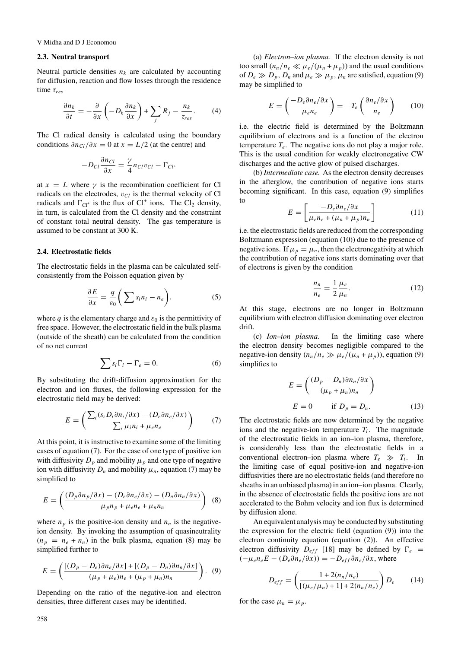V Midha and D J Economou

## **2.3. Neutral transport**

Neutral particle densities  $n_k$  are calculated by accounting for diffusion, reaction and flow losses through the residence time  $\tau_{res}$ 

$$
\frac{\partial n_k}{\partial t} = -\frac{\partial}{\partial x} \left( -D_k \frac{\partial n_k}{\partial x} \right) + \sum_j R_j - \frac{n_k}{\tau_{res}}.
$$
 (4)

The Cl radical density is calculated using the boundary conditions  $\partial n_{Cl}/\partial x = 0$  at  $x = L/2$  (at the centre) and

$$
-D_{Cl}\frac{\partial n_{Cl}}{\partial x} = \frac{\gamma}{4}n_{Cl}v_{Cl} - \Gamma_{Cl^+}
$$

at  $x = L$  where  $\gamma$  is the recombination coefficient for Cl radicals on the electrodes,  $v_{Cl}$  is the thermal velocity of Cl radicals and  $\Gamma_{Cl^+}$  is the flux of  $Cl^+$  ions. The  $Cl_2$  density, in turn, is calculated from the Cl density and the constraint of constant total neutral density. The gas temperature is assumed to be constant at 300 K.

# **2.4. Electrostatic fields**

The electrostatic fields in the plasma can be calculated selfconsistently from the Poisson equation given by

$$
\frac{\partial E}{\partial x} = \frac{q}{\varepsilon_0} \bigg( \sum s_i n_i - n_e \bigg). \tag{5}
$$

where q is the elementary charge and  $\varepsilon_0$  is the permittivity of free space. However, the electrostatic field in the bulk plasma (outside of the sheath) can be calculated from the condition of no net current

$$
\sum s_i \Gamma_i - \Gamma_e = 0. \tag{6}
$$

By substituting the drift-diffusion approximation for the electron and ion fluxes, the following expression for the electrostatic field may be derived:

$$
E = \left(\frac{\sum_{i} (s_i D_i \partial n_i / \partial x) - (D_e \partial n_e / \partial x)}{\sum_{i} \mu_i n_i + \mu_e n_e}\right) \tag{7}
$$

At this point, it is instructive to examine some of the limiting cases of equation (7). For the case of one type of positive ion with diffusivity  $D_p$  and mobility  $\mu_p$  and one type of negative ion with diffusivity  $D_n$  and mobility  $\mu_n$ , equation (7) may be simplified to

$$
E = \left(\frac{(D_p \partial n_p/\partial x) - (D_e \partial n_e/\partial x) - (D_n \partial n_n/\partial x)}{\mu_p n_p + \mu_e n_e + \mu_n n_n}\right) (8)
$$

where  $n_p$  is the positive-ion density and  $n_n$  is the negativeion density. By invoking the assumption of quasineutrality  $(n_p = n_e + n_n)$  in the bulk plasma, equation (8) may be simplified further to

$$
E = \left(\frac{[(D_p - D_e)\partial n_e/\partial x] + [(D_p - D_n)\partial n_n/\partial x]}{(\mu_p + \mu_e)n_e + (\mu_p + \mu_n)n_n}\right). (9)
$$

Depending on the ratio of the negative-ion and electron densities, three different cases may be identified.

(a) *Electron–ion plasma.* If the electron density is not too small  $(n_n/n_e \ll \mu_e/(\mu_n + \mu_p))$  and the usual conditions of  $D_e \gg D_p$ ,  $D_n$  and  $\mu_e \gg \mu_p$ ,  $\mu_n$  are satisfied, equation (9) may be simplified to

$$
E = \left(\frac{-D_e \partial n_e / \partial x}{\mu_e n_e}\right) = -T_e \left(\frac{\partial n_e / \partial x}{n_e}\right) \tag{10}
$$

i.e. the electric field is determined by the Boltzmann equilibrium of electrons and is a function of the electron temperature  $T_e$ . The negative ions do not play a major role. This is the usual condition for weakly electronegative CW discharges and the active glow of pulsed discharges.

(b) *Intermediate case.* As the electron density decreases in the afterglow, the contribution of negative ions starts becoming significant. In this case, equation (9) simplifies to

$$
E = \left[\frac{-D_e \partial n_e / \partial x}{\mu_e n_e + (\mu_n + \mu_p) n_n}\right]
$$
(11)

i.e. the electrostatic fields are reduced from the corresponding Boltzmann expression (equation (10)) due to the presence of negative ions. If  $\mu_p = \mu_n$ , then the electronegativity at which the contribution of negative ions starts dominating over that of electrons is given by the condition

$$
\frac{n_n}{n_e} = \frac{1}{2} \frac{\mu_e}{\mu_n}.
$$
\n(12)

At this stage, electrons are no longer in Boltzmann equilibrium with electron diffusion dominating over electron drift.

(c) *Ion–ion plasma.* In the limiting case where the electron density becomes negligible compared to the negative-ion density  $(n_n/n_e \gg \mu_e/(\mu_n + \mu_p))$ , equation (9) simplifies to

$$
E = \left(\frac{(D_p - D_n)\partial n_n/\partial x}{(\mu_p + \mu_n)n_n}\right)
$$
  

$$
E = 0 \quad \text{if } D_p = D_n.
$$
 (13)

The electrostatic fields are now determined by the negative ions and the negative-ion temperature  $T_i$ . The magnitude of the electrostatic fields in an ion–ion plasma, therefore, is considerably less than the electrostatic fields in a conventional electron–ion plasma where  $T_e \gg T_i$ . In the limiting case of equal positive-ion and negative-ion diffusivities there are no electrostatic fields (and therefore no sheaths in an unbiased plasma) in an ion–ion plasma. Clearly, in the absence of electrostatic fields the positive ions are not accelerated to the Bohm velocity and ion flux is determined by diffusion alone.

An equivalent analysis may be conducted by substituting the expression for the electric field (equation (9)) into the electron continuity equation (equation (2)). An effective electron diffusivity  $D_{eff}$  [18] may be defined by  $\Gamma_e$  =  $(-\mu_e n_e E - (D_e \partial n_e/\partial x)) = -D_{eff} \partial n_e/\partial x$ , where

$$
D_{eff} = \left(\frac{1 + 2(n_n/n_e)}{\left[\left(\mu_e/\mu_n\right) + 1\right] + 2(n_n/n_e)}\right) D_e \tag{14}
$$

for the case  $\mu_n = \mu_p$ .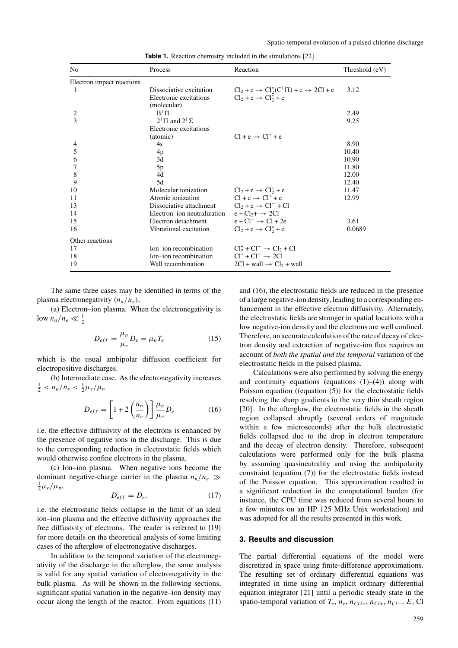| No                        | Process                                           | Reaction                                                                                           | Threshold (eV) |
|---------------------------|---------------------------------------------------|----------------------------------------------------------------------------------------------------|----------------|
| Electron impact reactions |                                                   |                                                                                                    |                |
| 1                         | Dissociative excitation<br>Electronic excitations | $Cl_2 + e \rightarrow Cl_2^*(C^1\Pi) + e \rightarrow 2Cl + e$<br>$Cl_2 + e \rightarrow Cl_2^* + e$ | 3.12           |
|                           | (molecular)                                       |                                                                                                    |                |
| 2                         | $B^3\Pi$                                          |                                                                                                    | 2.49           |
| 3                         | $2^1 \Pi$ and $2^1 \Sigma$                        |                                                                                                    | 9.25           |
|                           | Electronic excitations                            |                                                                                                    |                |
|                           | (atomic)                                          | $Cl + e \rightarrow Cl^* + e$                                                                      |                |
| 4                         | 4s                                                |                                                                                                    | 8.90           |
| 5                         | 4p                                                |                                                                                                    | 10.40          |
| 6                         | 3d                                                |                                                                                                    | 10.90          |
| 7                         | 5 <sub>p</sub>                                    |                                                                                                    | 11.80          |
| 8                         | 4d                                                |                                                                                                    | 12.00          |
| 9                         | 5d                                                |                                                                                                    | 12.40          |
| 10                        | Molecular ionization                              | $Cl_2 + e \rightarrow Cl_2^+ + e$                                                                  | 11.47          |
| 11                        | Atomic ionization                                 | $Cl + e \rightarrow Cl^+ + e$                                                                      | 12.99          |
| 13                        | Dissociative attachment                           | $Cl_2 + e \rightarrow Cl^- + Cl$                                                                   |                |
| 14                        | Electron-ion neutralization                       | $e + Cl_2 + \rightarrow 2Cl$                                                                       |                |
| 15                        | Electron detachment                               | $e + Cl^- \rightarrow Cl + 2e$                                                                     | 3.61           |
| 16                        | Vibrational excitation                            | $Cl_2 + e \rightarrow Cl_2^* + e$                                                                  | 0.0689         |
| Other reactions           |                                                   |                                                                                                    |                |
| 17                        | Ion-ion recombination                             | $Cl2+ + Cl- \rightarrow Cl2 + Cl$                                                                  |                |
| 18                        | Ion-ion recombination                             | $Cl^+ + Cl^- \rightarrow 2Cl$                                                                      |                |
| 19                        | Wall recombination                                | $2Cl + wall \rightarrow Cl_2 + wall$                                                               |                |

**Table 1.** Reaction chemistry included in the simulations [22].

The same three cases may be identified in terms of the plasma electronegativity  $(n_n/n_e)$ ,

(a) Electron–ion plasma. When the electronegativity is  $\frac{1}{2}$  low  $n_n/n_e \ll \frac{1}{2}$ 

$$
D_{eff} = \frac{\mu_n}{\mu_e} D_e = \mu_n T_e \tag{15}
$$

which is the usual ambipolar diffusion coefficient for electropositive discharges.

(b) Intermediate case. As the electronegativity increases  $\frac{1}{2} < n_n/n_e < \frac{1}{2}\mu_e/\mu_n$ 

$$
D_{eff} = \left[1 + 2\left(\frac{n_n}{n_e}\right)\right] \frac{\mu_n}{\mu_e} D_e \tag{16}
$$

i.e. the effective diffusivity of the electrons is enhanced by the presence of negative ions in the discharge. This is due to the corresponding reduction in electrostatic fields which would otherwise confine electrons in the plasma.

(c) Ion–ion plasma. When negative ions become the dominant negative-charge carrier in the plasma  $n_n/n_e \gg$  $rac{1}{2}\mu_e/\mu_n$ ,

$$
D_{eff} = D_e. \tag{17}
$$

i.e. the electrostatic fields collapse in the limit of an ideal ion–ion plasma and the effective diffusivity approaches the free diffusivity of electrons. The reader is referred to [19] for more details on the theoretical analysis of some limiting cases of the afterglow of electronegative discharges.

In addition to the temporal variation of the electronegativity of the discharge in the afterglow, the same analysis is valid for any spatial variation of electronegativity in the bulk plasma. As will be shown in the following sections, significant spatial variation in the negative–ion density may occur along the length of the reactor. From equations (11)

and (16), the electrostatic fields are reduced in the presence of a large negative-ion density, leading to a corresponding enhancement in the effective electron diffusivity. Alternately, the electrostatic fields are stronger in spatial locations with a low negative-ion density and the electrons are well confined. Therefore, an accurate calculation of the rate of decay of electron density and extraction of negative-ion flux requires an account of *both the spatial and the temporal* variation of the electrostatic fields in the pulsed plasma.

Calculations were also performed by solving the energy and continuity equations (equations  $(1)$ – $(4)$ ) along with Poisson equation ((equation (5)) for the electrostatic fields resolving the sharp gradients in the very thin sheath region [20]. In the afterglow, the electrostatic fields in the sheath region collapsed abruptly (several orders of magnitude within a few microseconds) after the bulk electrostatic fields collapsed due to the drop in electron temperature and the decay of electron density. Therefore, subsequent calculations were performed only for the bulk plasma by assuming quasineutrality and using the ambipolarity constraint (equation (7)) for the electrostatic fields instead of the Poisson equation. This approximation resulted in a significant reduction in the computational burden (for instance, the CPU time was reduced from several hours to a few minutes on an HP 125 MHz Unix workstation) and was adopted for all the results presented in this work.

## **3. Results and discussion**

The partial differential equations of the model were discretized in space using finite-difference approximations. The resulting set of ordinary differential equations was integrated in time using an implicit ordinary differential equation integrator [21] until a periodic steady state in the spatio-temporal variation of  $T_e$ ,  $n_e$ ,  $n_{Cl<sub>2+</sub>}, n_{Cl<sub>+</sub>}, n_{Cl<sub>-</sub>}, E$ , Cl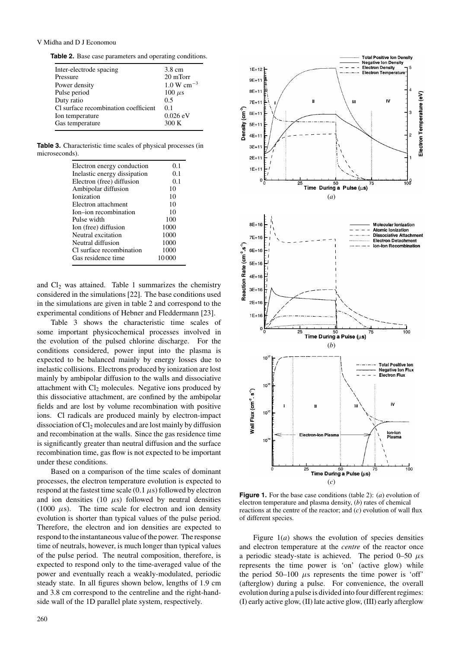## V Midha and D J Economou

**Table 2.** Base case parameters and operating conditions.

| Inter-electrode spacing              | 3.8 cm                  |
|--------------------------------------|-------------------------|
| Pressure                             | 20 mTorr                |
| Power density                        | $1.0 \text{ W cm}^{-3}$ |
| Pulse period                         | $100 \mu s$             |
| Duty ratio                           | 0.5                     |
| Cl surface recombination coefficient | 0.1                     |
| Ion temperature                      | $0.026$ eV              |
| Gas temperature                      | 300K                    |
|                                      |                         |

**Table 3.** Characteristic time scales of physical processes (in microseconds).

| Electron energy conduction   | 0.1   |
|------------------------------|-------|
| Inelastic energy dissipation | 0.1   |
| Electron (free) diffusion    | 0.1   |
| Ambipolar diffusion          | 10    |
| Ionization                   | 10    |
| Electron attachment          | 10    |
| Ion-ion recombination        | 10    |
| Pulse width                  | 100   |
| Ion (free) diffusion         | 1000  |
| Neutral excitation           | 1000  |
| Neutral diffusion            | 1000  |
| Cl surface recombination     | 1000  |
| Gas residence time           | 10000 |
|                              |       |

and  $Cl<sub>2</sub>$  was attained. Table 1 summarizes the chemistry considered in the simulations [22]. The base conditions used in the simulations are given in table 2 and correspond to the experimental conditions of Hebner and Fleddermann [23].

Table 3 shows the characteristic time scales of some important physicochemical processes involved in the evolution of the pulsed chlorine discharge. For the conditions considered, power input into the plasma is expected to be balanced mainly by energy losses due to inelastic collisions. Electrons produced by ionization are lost mainly by ambipolar diffusion to the walls and dissociative attachment with Cl<sub>2</sub> molecules. Negative ions produced by this dissociative attachment, are confined by the ambipolar fields and are lost by volume recombination with positive ions. Cl radicals are produced mainly by electron-impact dissociation of  $Cl_2$  molecules and are lost mainly by diffusion and recombination at the walls. Since the gas residence time is significantly greater than neutral diffusion and the surface recombination time, gas flow is not expected to be important under these conditions.

Based on a comparison of the time scales of dominant processes, the electron temperature evolution is expected to respond at the fastest time scale  $(0.1 \mu s)$  followed by electron and ion densities (10  $\mu$ s) followed by neutral densities (1000  $\mu$ s). The time scale for electron and ion density evolution is shorter than typical values of the pulse period. Therefore, the electron and ion densities are expected to respond to the instantaneous value of the power. The response time of neutrals, however, is much longer than typical values of the pulse period. The neutral composition, therefore, is expected to respond only to the time-averaged value of the power and eventually reach a weakly-modulated, periodic steady state. In all figures shown below, lengths of 1.9 cm and 3.8 cm correspond to the centreline and the right-handside wall of the 1D parallel plate system, respectively.



**Figure 1.** For the base case conditions (table 2): (*a*) evolution of electron temperature and plasma density, (*b*) rates of chemical reactions at the centre of the reactor; and (*c*) evolution of wall flux of different species.

Figure  $1(a)$  shows the evolution of species densities and electron temperature at the *centre* of the reactor once a periodic steady-state is achieved. The period  $0-50 \mu s$ represents the time power is 'on' (active glow) while the period 50–100  $\mu$ s represents the time power is 'off' (afterglow) during a pulse. For convenience, the overall evolution during a pulse is divided into four different regimes: (I) early active glow, (II) late active glow, (III) early afterglow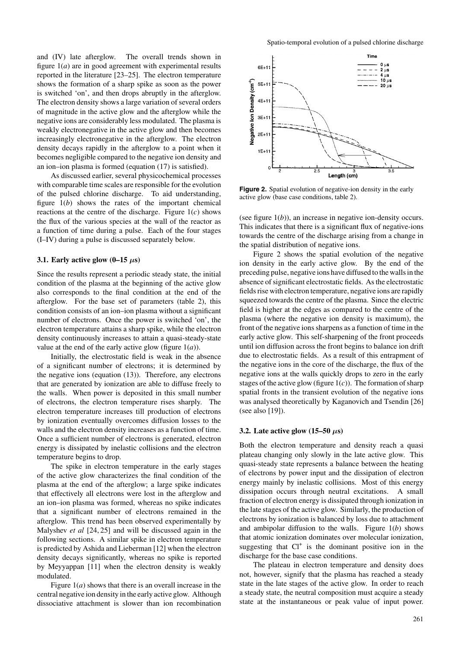and (IV) late afterglow. The overall trends shown in figure 1(*a*) are in good agreement with experimental results reported in the literature [23–25]. The electron temperature shows the formation of a sharp spike as soon as the power is switched 'on', and then drops abruptly in the afterglow. The electron density shows a large variation of several orders of magnitude in the active glow and the afterglow while the negative ions are considerably less modulated. The plasma is weakly electronegative in the active glow and then becomes increasingly electronegative in the afterglow. The electron density decays rapidly in the afterglow to a point when it becomes negligible compared to the negative ion density and an ion–ion plasma is formed (equation (17) is satisfied).

As discussed earlier, several physicochemical processes with comparable time scales are responsible for the evolution of the pulsed chlorine discharge. To aid understanding, figure 1(*b*) shows the rates of the important chemical reactions at the centre of the discharge. Figure  $1(c)$  shows the flux of the various species at the wall of the reactor as a function of time during a pulse. Each of the four stages (I–IV) during a pulse is discussed separately below.

## **3.1. Early active glow (0–15** *µ***s)**

Since the results represent a periodic steady state, the initial condition of the plasma at the beginning of the active glow also corresponds to the final condition at the end of the afterglow. For the base set of parameters (table 2), this condition consists of an ion–ion plasma without a significant number of electrons. Once the power is switched 'on', the electron temperature attains a sharp spike, while the electron density continuously increases to attain a quasi-steady-state value at the end of the early active glow (figure 1(*a*)).

Initially, the electrostatic field is weak in the absence of a significant number of electrons; it is determined by the negative ions (equation (13)). Therefore, any electrons that are generated by ionization are able to diffuse freely to the walls. When power is deposited in this small number of electrons, the electron temperature rises sharply. The electron temperature increases till production of electrons by ionization eventually overcomes diffusion losses to the walls and the electron density increases as a function of time. Once a sufficient number of electrons is generated, electron energy is dissipated by inelastic collisions and the electron temperature begins to drop.

The spike in electron temperature in the early stages of the active glow characterizes the final condition of the plasma at the end of the afterglow; a large spike indicates that effectively all electrons were lost in the afterglow and an ion–ion plasma was formed, whereas no spike indicates that a significant number of electrons remained in the afterglow. This trend has been observed experimentally by Malyshev *et al* [24, 25] and will be discussed again in the following sections. A similar spike in electron temperature is predicted by Ashida and Lieberman [12] when the electron density decays significantly, whereas no spike is reported by Meyyappan [11] when the electron density is weakly modulated.

Figure 1(*a*) shows that there is an overall increase in the central negative ion density in the early active glow. Although dissociative attachment is slower than ion recombination



**Figure 2.** Spatial evolution of negative-ion density in the early active glow (base case conditions, table 2).

(see figure 1(*b*)), an increase in negative ion-density occurs. This indicates that there is a significant flux of negative-ions towards the centre of the discharge arising from a change in the spatial distribution of negative ions.

Figure 2 shows the spatial evolution of the negative ion density in the early active glow. By the end of the preceding pulse, negative ions have diffused to the walls in the absence of significant electrostatic fields. As the electrostatic fields rise with electron temperature, negative ions are rapidly squeezed towards the centre of the plasma. Since the electric field is higher at the edges as compared to the centre of the plasma (where the negative ion density is maximum), the front of the negative ions sharpens as a function of time in the early active glow. This self-sharpening of the front proceeds until ion diffusion across the front begins to balance ion drift due to electrostatic fields. As a result of this entrapment of the negative ions in the core of the discharge, the flux of the negative ions at the walls quickly drops to zero in the early stages of the active glow (figure  $1(c)$ ). The formation of sharp spatial fronts in the transient evolution of the negative ions was analysed theoretically by Kaganovich and Tsendin [26] (see also [19]).

# **3.2. Late active glow (15–50** *µ***s)**

Both the electron temperature and density reach a quasi plateau changing only slowly in the late active glow. This quasi-steady state represents a balance between the heating of electrons by power input and the dissipation of electron energy mainly by inelastic collisions. Most of this energy dissipation occurs through neutral excitations. A small fraction of electron energy is dissipated through ionization in the late stages of the active glow. Similarly, the production of electrons by ionization is balanced by loss due to attachment and ambipolar diffusion to the walls. Figure 1(*b*) shows that atomic ionization dominates over molecular ionization, suggesting that  $Cl<sup>+</sup>$  is the dominant positive ion in the discharge for the base case conditions.

The plateau in electron temperature and density does not, however, signify that the plasma has reached a steady state in the late stages of the active glow. In order to reach a steady state, the neutral composition must acquire a steady state at the instantaneous or peak value of input power.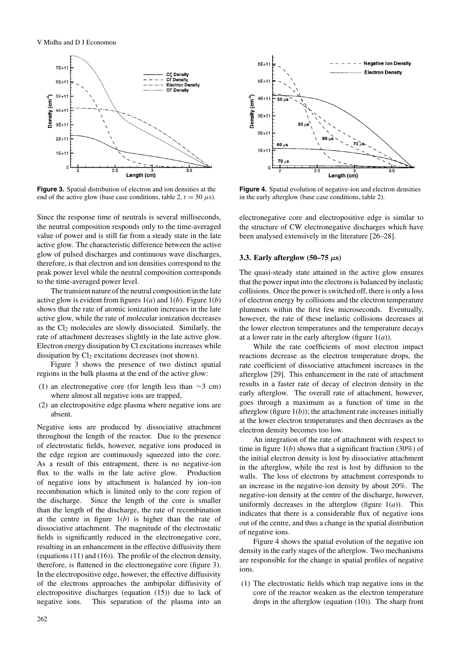

**Figure 3.** Spatial distribution of electron and ion densities at the end of the active glow (base case conditions, table 2,  $t = 50 \,\mu s$ ).

Since the response time of neutrals is several milliseconds, the neutral composition responds only to the time-averaged value of power and is still far from a steady state in the late active glow. The characteristic difference between the active glow of pulsed discharges and continuous wave discharges, therefore, is that electron and ion densities correspond to the peak power level while the neutral composition corresponds to the time-averaged power level.

The transient nature of the neutral composition in the late active glow is evident from figures 1(*a*) and 1(*b*). Figure 1(*b*) shows that the rate of atomic ionization increases in the late active glow, while the rate of molecular ionization decreases as the Cl<sub>2</sub> molecules are slowly dissociated. Similarly, the rate of attachment decreases slightly in the late active glow. Electron energy dissipation by Cl excitations increases while dissipation by  $Cl_2$  excitations decreases (not shown).

Figure 3 shows the presence of two distinct spatial regions in the bulk plasma at the end of the active glow:

- (1) an electronegative core (for length less than ∼3 cm) where almost all negative ions are trapped,
- (2) an electropositive edge plasma where negative ions are absent.

Negative ions are produced by dissociative attachment throughout the length of the reactor. Due to the presence of electrostatic fields, however, negative ions produced in the edge region are continuously squeezed into the core. As a result of this entrapment, there is no negative-ion flux to the walls in the late active glow. Production of negative ions by attachment is balanced by ion–ion recombination which is limited only to the core region of the discharge. Since the length of the core is smaller than the length of the discharge, the rate of recombination at the centre in figure  $1(b)$  is higher than the rate of dissociative attachment. The magnitude of the electrostatic fields is significantly reduced in the electronegative core, resulting in an enhancement in the effective diffusivity there (equations (11) and (16)). The profile of the electron density, therefore, is flattened in the electronegative core (figure 3). In the electropositive edge, however, the effective diffusivity of the electrons approaches the ambipolar diffusivity of electropositive discharges (equation (15)) due to lack of negative ions. This separation of the plasma into an



**Figure 4.** Spatial evolution of negative-ion and electron densities in the early afterglow (base case conditions, table 2).

electronegative core and electropositive edge is similar to the structure of CW electronegative discharges which have been analysed extensively in the literature [26–28].

# **3.3. Early afterglow (50–75** *µ***s)**

The quasi-steady state attained in the active glow ensures that the power input into the electrons is balanced by inelastic collisions. Once the power is switched off, there is only a loss of electron energy by collisions and the electron temperature plummets within the first few microseconds. Eventually, however, the rate of these inelastic collisions decreases at the lower electron temperatures and the temperature decays at a lower rate in the early afterglow (figure  $1(a)$ ).

While the rate coefficients of most electron impact reactions decrease as the electron temperature drops, the rate coefficient of dissociative attachment increases in the afterglow [29]. This enhancement in the rate of attachment results in a faster rate of decay of electron density in the early afterglow. The overall rate of attachment, however, goes through a maximum as a function of time in the afterglow (figure 1(*b*)); the attachment rate increases initially at the lower electron temperatures and then decreases as the electron density becomes too low.

An integration of the rate of attachment with respect to time in figure 1(*b*) shows that a significant fraction (30%) of the initial electron density is lost by dissociative attachment in the afterglow, while the rest is lost by diffusion to the walls. The loss of electrons by attachment corresponds to an increase in the negative-ion density by about 20%. The negative-ion density at the centre of the discharge, however, uniformly decreases in the afterglow (figure  $1(a)$ ). This indicates that there is a considerable flux of negative ions out of the centre, and thus a change in the spatial distribution of negative ions.

Figure 4 shows the spatial evolution of the negative ion density in the early stages of the afterglow. Two mechanisms are responsible for the change in spatial profiles of negative ions.

(1) The electrostatic fields which trap negative ions in the core of the reactor weaken as the electron temperature drops in the afterglow (equation (10)). The sharp front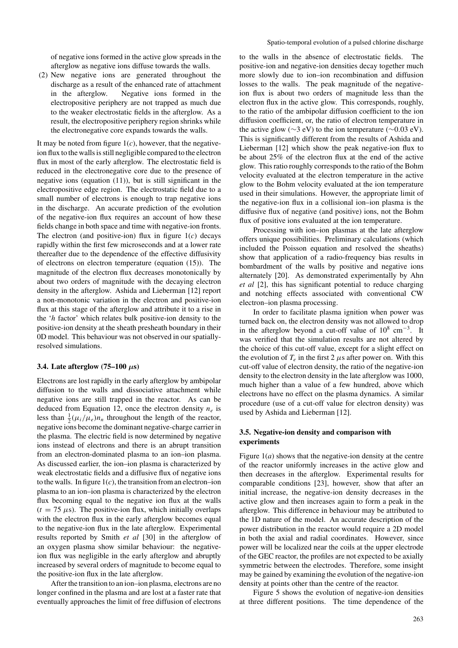of negative ions formed in the active glow spreads in the afterglow as negative ions diffuse towards the walls.

(2) New negative ions are generated throughout the discharge as a result of the enhanced rate of attachment in the afterglow. Negative ions formed in the electropositive periphery are not trapped as much due to the weaker electrostatic fields in the afterglow. As a result, the electropositive periphery region shrinks while the electronegative core expands towards the walls.

It may be noted from figure  $1(c)$ , however, that the negativeion flux to the walls is still negligible compared to the electron flux in most of the early afterglow. The electrostatic field is reduced in the electronegative core due to the presence of negative ions (equation (11)), but is still significant in the electropositive edge region. The electrostatic field due to a small number of electrons is enough to trap negative ions in the discharge. An accurate prediction of the evolution of the negative-ion flux requires an account of how these fields change in both space and time with negative-ion fronts. The electron (and positive-ion) flux in figure  $1(c)$  decays rapidly within the first few microseconds and at a lower rate thereafter due to the dependence of the effective diffusivity of electrons on electron temperature (equation (15)). The magnitude of the electron flux decreases monotonically by about two orders of magnitude with the decaying electron density in the afterglow. Ashida and Lieberman [12] report a non-monotonic variation in the electron and positive-ion flux at this stage of the afterglow and attribute it to a rise in the 'h factor' which relates bulk positive-ion density to the positive-ion density at the sheath presheath boundary in their 0D model. This behaviour was not observed in our spatiallyresolved simulations.

## **3.4. Late afterglow (75–100** *µ***s)**

Electrons are lost rapidly in the early afterglow by ambipolar diffusion to the walls and dissociative attachment while negative ions are still trapped in the reactor. As can be deduced from Equation 12, once the electron density  $n_e$  is less than  $\frac{1}{2}(\mu_i/\mu_e)n_n$  throughout the length of the reactor, negative ions become the dominant negative-charge carrier in the plasma. The electric field is now determined by negative ions instead of electrons and there is an abrupt transition from an electron-dominated plasma to an ion–ion plasma. As discussed earlier, the ion–ion plasma is characterized by weak electrostatic fields and a diffusive flux of negative ions to the walls. In figure  $1(c)$ , the transition from an electron–ion plasma to an ion–ion plasma is characterized by the electron flux becoming equal to the negative ion flux at the walls  $(t = 75 \,\mu s)$ . The positive-ion flux, which initially overlaps with the electron flux in the early afterglow becomes equal to the negative-ion flux in the late afterglow. Experimental results reported by Smith *et al* [30] in the afterglow of an oxygen plasma show similar behaviour: the negativeion flux was negligible in the early afterglow and abruptly increased by several orders of magnitude to become equal to the positive-ion flux in the late afterglow.

After the transition to an ion–ion plasma, electrons are no longer confined in the plasma and are lost at a faster rate that eventually approaches the limit of free diffusion of electrons

to the walls in the absence of electrostatic fields. The positive-ion and negative-ion densities decay together much more slowly due to ion–ion recombination and diffusion losses to the walls. The peak magnitude of the negativeion flux is about two orders of magnitude less than the electron flux in the active glow. This corresponds, roughly, to the ratio of the ambipolar diffusion coefficient to the ion diffusion coefficient, or, the ratio of electron temperature in the active glow ( $\sim$ 3 eV) to the ion temperature ( $\sim$ 0.03 eV). This is significantly different from the results of Ashida and Lieberman [12] which show the peak negative-ion flux to be about 25% of the electron flux at the end of the active glow. This ratio roughly corresponds to the ratio of the Bohm velocity evaluated at the electron temperature in the active glow to the Bohm velocity evaluated at the ion temperature used in their simulations. However, the appropriate limit of the negative-ion flux in a collisional ion–ion plasma is the diffusive flux of negative (and positive) ions, not the Bohm flux of positive ions evaluated at the ion temperature.

Processing with ion–ion plasmas at the late afterglow offers unique possibilities. Preliminary calculations (which included the Poisson equation and resolved the sheaths) show that application of a radio-frequency bias results in bombardment of the walls by positive and negative ions alternately [20]. As demonstrated experimentally by Ahn *et al* [2], this has significant potential to reduce charging and notching effects associated with conventional CW electron–ion plasma processing.

In order to facilitate plasma ignition when power was turned back on, the electron density was not allowed to drop in the afterglow beyond a cut-off value of  $10^8$  cm<sup>-3</sup>. It was verified that the simulation results are not altered by the choice of this cut-off value, except for a slight effect on the evolution of  $T_e$  in the first 2  $\mu$ s after power on. With this cut-off value of electron density, the ratio of the negative-ion density to the electron density in the late afterglow was 1000, much higher than a value of a few hundred, above which electrons have no effect on the plasma dynamics. A similar procedure (use of a cut-off value for electron density) was used by Ashida and Lieberman [12].

## **3.5. Negative-ion density and comparison with experiments**

Figure  $1(a)$  shows that the negative-ion density at the centre of the reactor uniformly increases in the active glow and then decreases in the afterglow. Experimental results for comparable conditions [23], however, show that after an initial increase, the negative-ion density decreases in the active glow and then increases again to form a peak in the afterglow. This difference in behaviour may be attributed to the 1D nature of the model. An accurate description of the power distribution in the reactor would require a 2D model in both the axial and radial coordinates. However, since power will be localized near the coils at the upper electrode of the GEC reactor, the profiles are not expected to be axially symmetric between the electrodes. Therefore, some insight may be gained by examining the evolution of the negative-ion density at points other than the centre of the reactor.

Figure 5 shows the evolution of negative-ion densities at three different positions. The time dependence of the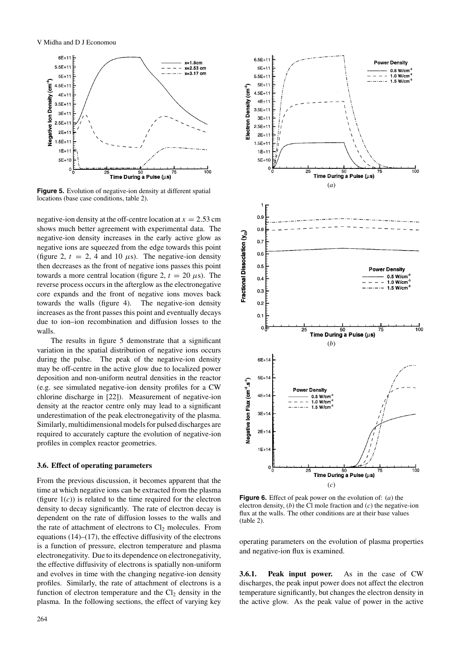

**Figure 5.** Evolution of negative-ion density at different spatial locations (base case conditions, table 2).

negative-ion density at the off-centre location at  $x = 2.53$  cm shows much better agreement with experimental data. The negative-ion density increases in the early active glow as negative ions are squeezed from the edge towards this point (figure 2,  $t = 2$ , 4 and 10  $\mu$ s). The negative-ion density then decreases as the front of negative ions passes this point towards a more central location (figure 2,  $t = 20 \mu s$ ). The reverse process occurs in the afterglow as the electronegative core expands and the front of negative ions moves back towards the walls (figure 4). The negative-ion density increases as the front passes this point and eventually decays due to ion–ion recombination and diffusion losses to the walls.

The results in figure 5 demonstrate that a significant variation in the spatial distribution of negative ions occurs during the pulse. The peak of the negative-ion density may be off-centre in the active glow due to localized power deposition and non-uniform neutral densities in the reactor (e.g. see simulated negative-ion density profiles for a CW chlorine discharge in [22]). Measurement of negative-ion density at the reactor centre only may lead to a significant underestimation of the peak electronegativity of the plasma. Similarly, multidimensional models for pulsed discharges are required to accurately capture the evolution of negative-ion profiles in complex reactor geometries.

#### **3.6. Effect of operating parameters**

From the previous discussion, it becomes apparent that the time at which negative ions can be extracted from the plasma (figure  $1(c)$ ) is related to the time required for the electron density to decay significantly. The rate of electron decay is dependent on the rate of diffusion losses to the walls and the rate of attachment of electrons to  $Cl<sub>2</sub>$  molecules. From equations  $(14)$ – $(17)$ , the effective diffusivity of the electrons is a function of pressure, electron temperature and plasma electronegativity. Due to its dependence on electronegativity, the effective diffusivity of electrons is spatially non-uniform and evolves in time with the changing negative-ion density profiles. Similarly, the rate of attachment of electrons is a function of electron temperature and the  $Cl<sub>2</sub>$  density in the plasma. In the following sections, the effect of varying key



**Figure 6.** Effect of peak power on the evolution of: (*a*) the electron density,  $(b)$  the Cl mole fraction and  $(c)$  the negative-ion flux at the walls. The other conditions are at their base values (table 2).

operating parameters on the evolution of plasma properties and negative-ion flux is examined.

**3.6.1. Peak input power.** As in the case of CW discharges, the peak input power does not affect the electron temperature significantly, but changes the electron density in the active glow. As the peak value of power in the active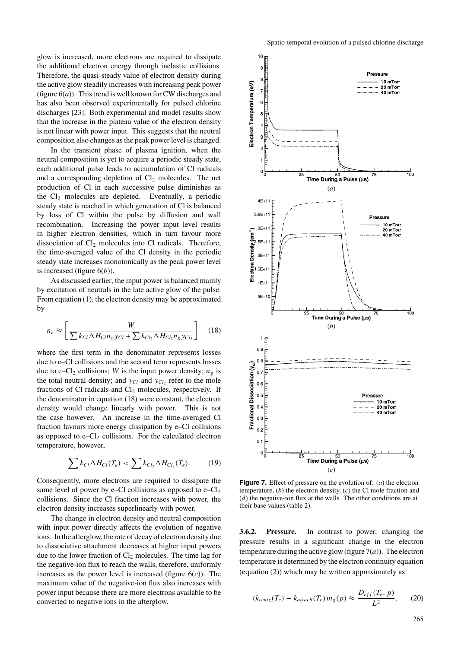glow is increased, more electrons are required to dissipate the additional electron energy through inelastic collisions. Therefore, the quasi-steady value of electron density during the active glow steadily increases with increasing peak power (figure  $6(a)$ ). This trend is well known for CW discharges and has also been observed experimentally for pulsed chlorine discharges [23]. Both experimental and model results show that the increase in the plateau value of the electron density is not linear with power input. This suggests that the neutral composition also changes as the peak power level is changed.

In the transient phase of plasma ignition, when the neutral composition is yet to acquire a periodic steady state, each additional pulse leads to accumulation of Cl radicals and a corresponding depletion of  $Cl<sub>2</sub>$  molecules. The net production of Cl in each successive pulse diminishes as the  $Cl<sub>2</sub>$  molecules are depleted. Eventually, a periodic steady state is reached in which generation of Cl is balanced by loss of Cl within the pulse by diffusion and wall recombination. Increasing the power input level results in higher electron densities, which in turn favour more dissociation of  $Cl<sub>2</sub>$  molecules into Cl radicals. Therefore, the time-averaged value of the Cl density in the periodic steady state increases monotonically as the peak power level is increased (figure 6(*b*)).

As discussed earlier, the input power is balanced mainly by excitation of neutrals in the late active glow of the pulse. From equation (1), the electron density may be approximated by

$$
n_e \approx \left[\frac{W}{\sum k_{Cl} \Delta H_{Cl} n_g y_{Cl} + \sum k_{Cl_2} \Delta H_{Cl_2} n_g y_{Cl_2}}\right]
$$
 (18)

where the first term in the denominator represents losses due to e–Cl collisions and the second term represents losses due to e–Cl<sub>2</sub> collisions; W is the input power density;  $n<sub>g</sub>$  is the total neutral density; and  $y_{Cl}$  and  $y_{Cl_2}$  refer to the mole fractions of Cl radicals and  $Cl<sub>2</sub>$  molecules, respectively. If the denominator in equation (18) were constant, the electron density would change linearly with power. This is not the case however. An increase in the time-averaged Cl fraction favours more energy dissipation by e–Cl collisions as opposed to  $e$ –Cl<sub>2</sub> collisions. For the calculated electron temperature, however,

$$
\sum k_{Cl} \Delta H_{Cl}(T_e) < \sum k_{Cl_2} \Delta H_{Cl_2}(T_e). \tag{19}
$$

Consequently, more electrons are required to dissipate the same level of power by e–Cl collisions as opposed to  $e$ –Cl<sub>2</sub> collisions. Since the Cl fraction increases with power, the electron density increases superlinearly with power.

The change in electron density and neutral composition with input power directly affects the evolution of negative ions. In the afterglow, the rate of decay of electron density due to dissociative attachment decreases at higher input powers due to the lower fraction of  $Cl_2$  molecules. The time lag for the negative-ion flux to reach the walls, therefore, uniformly increases as the power level is increased (figure  $6(c)$ ). The maximum value of the negative-ion flux also increases with power input because there are more electrons available to be converted to negative ions in the afterglow.

![](_page_9_Figure_9.jpeg)

**Figure 7.** Effect of pressure on the evolution of: (*a*) the electron temperature, (*b*) the electron density, (*c*) the Cl mole fraction and (*d*) the negative-ion flux at the walls. The other conditions are at their base values (table 2).

**3.6.2. Pressure.** In contrast to power, changing the pressure results in a significant change in the electron temperature during the active glow (figure 7(*a*)). The electron temperature is determined by the electron continuity equation (equation (2)) which may be written approximately as

$$
(k_{ioniz}(T_e) - k_{attach}(T_e))n_g(p) \approx \frac{D_{eff}(T_e, p)}{L^2}.
$$
 (20)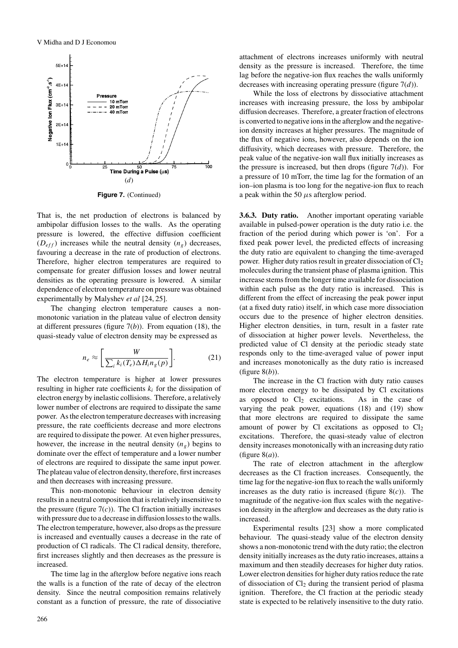![](_page_10_Figure_1.jpeg)

**Figure 7.** (Continued)

That is, the net production of electrons is balanced by ambipolar diffusion losses to the walls. As the operating pressure is lowered, the effective diffusion coefficient  $(D_{eff})$  increases while the neutral density  $(n_e)$  decreases, favouring a decrease in the rate of production of electrons. Therefore, higher electron temperatures are required to compensate for greater diffusion losses and lower neutral densities as the operating pressure is lowered. A similar dependence of electron temperature on pressure was obtained experimentally by Malyshev *et al* [24, 25].

The changing electron temperature causes a nonmonotonic variation in the plateau value of electron density at different pressures (figure 7(*b*)). From equation (18), the quasi-steady value of electron density may be expressed as

$$
n_e \approx \left[\frac{W}{\sum_i k_i(T_e) \Delta H_i n_g(p)}\right].
$$
 (21)

The electron temperature is higher at lower pressures resulting in higher rate coefficients  $k_i$  for the dissipation of electron energy by inelastic collisions. Therefore, a relatively lower number of electrons are required to dissipate the same power. As the electron temperature decreases with increasing pressure, the rate coefficients decrease and more electrons are required to dissipate the power. At even higher pressures, however, the increase in the neutral density  $(n<sub>g</sub>)$  begins to dominate over the effect of temperature and a lower number of electrons are required to dissipate the same input power. The plateau value of electron density, therefore, first increases and then decreases with increasing pressure.

This non-monotonic behaviour in electron density results in a neutral composition that is relatively insensitive to the pressure (figure  $7(c)$ ). The Cl fraction initially increases with pressure due to a decrease in diffusion losses to the walls. The electron temperature, however, also drops as the pressure is increased and eventually causes a decrease in the rate of production of Cl radicals. The Cl radical density, therefore, first increases slightly and then decreases as the pressure is increased.

The time lag in the afterglow before negative ions reach the walls is a function of the rate of decay of the electron density. Since the neutral composition remains relatively constant as a function of pressure, the rate of dissociative attachment of electrons increases uniformly with neutral density as the pressure is increased. Therefore, the time lag before the negative-ion flux reaches the walls uniformly decreases with increasing operating pressure (figure 7(*d*)).

While the loss of electrons by dissociative attachment increases with increasing pressure, the loss by ambipolar diffusion decreases. Therefore, a greater fraction of electrons is converted to negative ions in the afterglow and the negativeion density increases at higher pressures. The magnitude of the flux of negative ions, however, also depends on the ion diffusivity, which decreases with pressure. Therefore, the peak value of the negative-ion wall flux initially increases as the pressure is increased, but then drops (figure  $7(d)$ ). For a pressure of 10 mTorr, the time lag for the formation of an ion–ion plasma is too long for the negative-ion flux to reach a peak within the 50  $\mu$ s afterglow period.

**3.6.3. Duty ratio.** Another important operating variable available in pulsed-power operation is the duty ratio i.e. the fraction of the period during which power is 'on'. For a fixed peak power level, the predicted effects of increasing the duty ratio are equivalent to changing the time-averaged power. Higher duty ratios result in greater dissociation of  $Cl<sub>2</sub>$ molecules during the transient phase of plasma ignition. This increase stems from the longer time available for dissociation within each pulse as the duty ratio is increased. This is different from the effect of increasing the peak power input (at a fixed duty ratio) itself, in which case more dissociation occurs due to the presence of higher electron densities. Higher electron densities, in turn, result in a faster rate of dissociation at higher power levels. Nevertheless, the predicted value of Cl density at the periodic steady state responds only to the time-averaged value of power input and increases monotonically as the duty ratio is increased (figure 8(*b*)).

The increase in the Cl fraction with duty ratio causes more electron energy to be dissipated by Cl excitations as opposed to  $Cl<sub>2</sub>$  excitations. As in the case of varying the peak power, equations (18) and (19) show that more electrons are required to dissipate the same amount of power by Cl excitations as opposed to  $Cl<sub>2</sub>$ excitations. Therefore, the quasi-steady value of electron density increases monotonically with an increasing duty ratio (figure 8(*a*)).

The rate of electron attachment in the afterglow decreases as the Cl fraction increases. Consequently, the time lag for the negative-ion flux to reach the walls uniformly increases as the duty ratio is increased (figure  $8(c)$ ). The magnitude of the negative-ion flux scales with the negativeion density in the afterglow and decreases as the duty ratio is increased.

Experimental results [23] show a more complicated behaviour. The quasi-steady value of the electron density shows a non-monotonic trend with the duty ratio; the electron density initially increases as the duty ratio increases, attains a maximum and then steadily decreases for higher duty ratios. Lower electron densities for higher duty ratios reduce the rate of dissociation of Cl<sub>2</sub> during the transient period of plasma ignition. Therefore, the Cl fraction at the periodic steady state is expected to be relatively insensitive to the duty ratio.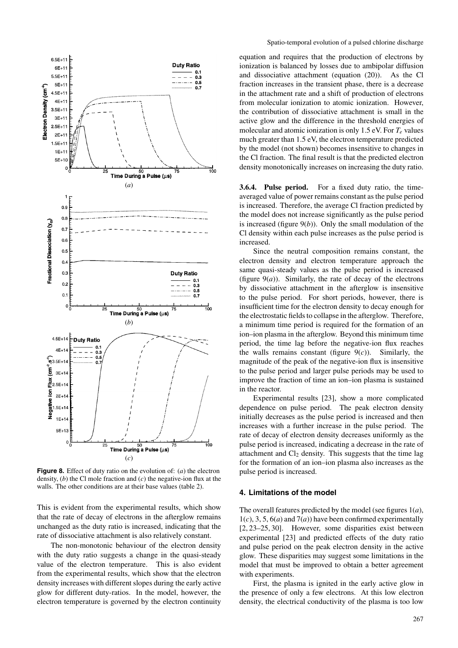![](_page_11_Figure_0.jpeg)

**Figure 8.** Effect of duty ratio on the evolution of: (*a*) the electron density, (*b*) the Cl mole fraction and (*c*) the negative-ion flux at the walls. The other conditions are at their base values (table 2).

This is evident from the experimental results, which show that the rate of decay of electrons in the afterglow remains unchanged as the duty ratio is increased, indicating that the rate of dissociative attachment is also relatively constant.

The non-monotonic behaviour of the electron density with the duty ratio suggests a change in the quasi-steady value of the electron temperature. This is also evident from the experimental results, which show that the electron density increases with different slopes during the early active glow for different duty-ratios. In the model, however, the electron temperature is governed by the electron continuity equation and requires that the production of electrons by ionization is balanced by losses due to ambipolar diffusion and dissociative attachment (equation (20)). As the Cl fraction increases in the transient phase, there is a decrease in the attachment rate and a shift of production of electrons from molecular ionization to atomic ionization. However, the contribution of dissociative attachment is small in the active glow and the difference in the threshold energies of molecular and atomic ionization is only 1.5 eV. For  $T_e$  values much greater than 1.5 eV, the electron temperature predicted by the model (not shown) becomes insensitive to changes in the Cl fraction. The final result is that the predicted electron density monotonically increases on increasing the duty ratio.

**3.6.4. Pulse period.** For a fixed duty ratio, the timeaveraged value of power remains constant as the pulse period is increased. Therefore, the average Cl fraction predicted by the model does not increase significantly as the pulse period is increased (figure  $9(b)$ ). Only the small modulation of the Cl density within each pulse increases as the pulse period is increased.

Since the neutral composition remains constant, the electron density and electron temperature approach the same quasi-steady values as the pulse period is increased (figure  $9(a)$ ). Similarly, the rate of decay of the electrons by dissociative attachment in the afterglow is insensitive to the pulse period. For short periods, however, there is insufficient time for the electron density to decay enough for the electrostatic fields to collapse in the afterglow. Therefore, a minimum time period is required for the formation of an ion–ion plasma in the afterglow. Beyond this minimum time period, the time lag before the negative-ion flux reaches the walls remains constant (figure  $9(c)$ ). Similarly, the magnitude of the peak of the negative-ion flux is insensitive to the pulse period and larger pulse periods may be used to improve the fraction of time an ion–ion plasma is sustained in the reactor.

Experimental results [23], show a more complicated dependence on pulse period. The peak electron density initially decreases as the pulse period is increased and then increases with a further increase in the pulse period. The rate of decay of electron density decreases uniformly as the pulse period is increased, indicating a decrease in the rate of attachment and  $Cl<sub>2</sub>$  density. This suggests that the time lag for the formation of an ion–ion plasma also increases as the pulse period is increased.

# **4. Limitations of the model**

The overall features predicted by the model (see figures 1(*a*),  $1(c)$ , 3, 5,  $6(a)$  and  $7(a)$ ) have been confirmed experimentally [2, 23–25, 30]. However, some disparities exist between experimental [23] and predicted effects of the duty ratio and pulse period on the peak electron density in the active glow. These disparities may suggest some limitations in the model that must be improved to obtain a better agreement with experiments.

First, the plasma is ignited in the early active glow in the presence of only a few electrons. At this low electron density, the electrical conductivity of the plasma is too low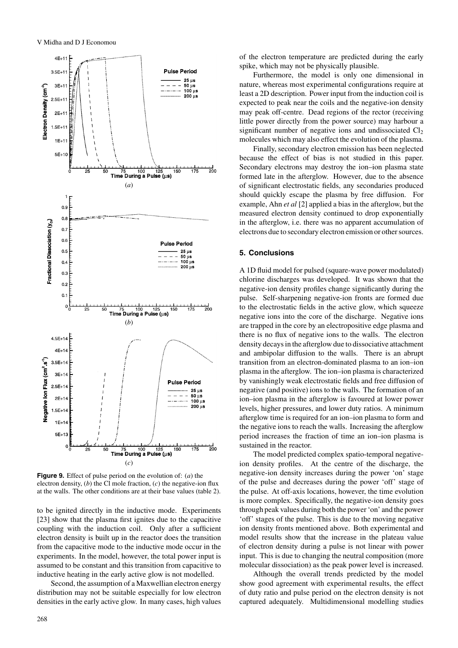![](_page_12_Figure_1.jpeg)

**Figure 9.** Effect of pulse period on the evolution of: (*a*) the electron density, (*b*) the Cl mole fraction, (*c*) the negative-ion flux at the walls. The other conditions are at their base values (table 2).

to be ignited directly in the inductive mode. Experiments [23] show that the plasma first ignites due to the capacitive coupling with the induction coil. Only after a sufficient electron density is built up in the reactor does the transition from the capacitive mode to the inductive mode occur in the experiments. In the model, however, the total power input is assumed to be constant and this transition from capacitive to inductive heating in the early active glow is not modelled.

Second, the assumption of a Maxwellian electron energy distribution may not be suitable especially for low electron densities in the early active glow. In many cases, high values of the electron temperature are predicted during the early spike, which may not be physically plausible.

Furthermore, the model is only one dimensional in nature, whereas most experimental configurations require at least a 2D description. Power input from the induction coil is expected to peak near the coils and the negative-ion density may peak off-centre. Dead regions of the rector (receiving little power directly from the power source) may harbour a significant number of negative ions and undissociated  $Cl<sub>2</sub>$ molecules which may also effect the evolution of the plasma.

Finally, secondary electron emission has been neglected because the effect of bias is not studied in this paper. Secondary electrons may destroy the ion–ion plasma state formed late in the afterglow. However, due to the absence of significant electrostatic fields, any secondaries produced should quickly escape the plasma by free diffusion. For example, Ahn *et al* [2] applied a bias in the afterglow, but the measured electron density continued to drop exponentially in the afterglow, i.e. there was no apparent accumulation of electrons due to secondary electron emission or other sources.

# **5. Conclusions**

A 1D fluid model for pulsed (square-wave power modulated) chlorine discharges was developed. It was shown that the negative-ion density profiles change significantly during the pulse. Self-sharpening negative-ion fronts are formed due to the electrostatic fields in the active glow, which squeeze negative ions into the core of the discharge. Negative ions are trapped in the core by an electropositive edge plasma and there is no flux of negative ions to the walls. The electron density decays in the afterglow due to dissociative attachment and ambipolar diffusion to the walls. There is an abrupt transition from an electron-dominated plasma to an ion–ion plasma in the afterglow. The ion–ion plasma is characterized by vanishingly weak electrostatic fields and free diffusion of negative (and positive) ions to the walls. The formation of an ion–ion plasma in the afterglow is favoured at lower power levels, higher pressures, and lower duty ratios. A minimum afterglow time is required for an ion–ion plasma to form and the negative ions to reach the walls. Increasing the afterglow period increases the fraction of time an ion–ion plasma is sustained in the reactor.

The model predicted complex spatio-temporal negativeion density profiles. At the centre of the discharge, the negative-ion density increases during the power 'on' stage of the pulse and decreases during the power 'off' stage of the pulse. At off-axis locations, however, the time evolution is more complex. Specifically, the negative-ion density goes through peak values during both the power 'on' and the power 'off' stages of the pulse. This is due to the moving negative ion density fronts mentioned above. Both experimental and model results show that the increase in the plateau value of electron density during a pulse is not linear with power input. This is due to changing the neutral composition (more molecular dissociation) as the peak power level is increased.

Although the overall trends predicted by the model show good agreement with experimental results, the effect of duty ratio and pulse period on the electron density is not captured adequately. Multidimensional modelling studies